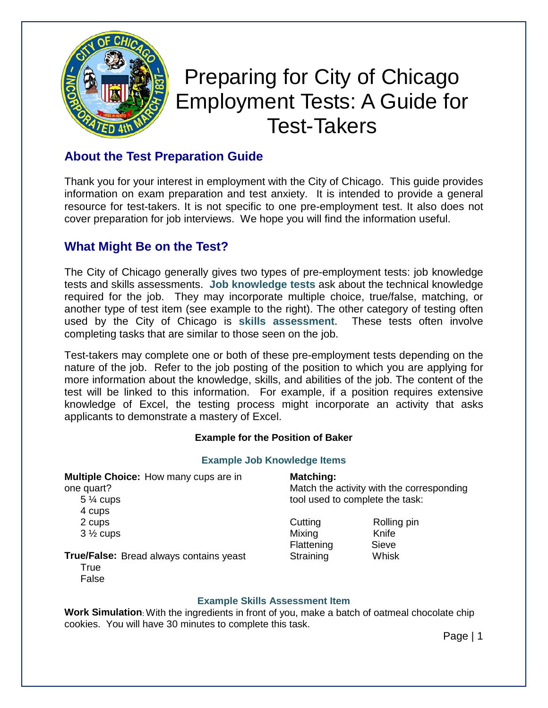

# Preparing for City of Chicago Employment Tests: A Guide for Test-Takers

## **About the Test Preparation Guide**

Thank you for your interest in employment with the City of Chicago. This guide provides information on exam preparation and test anxiety. It is intended to provide a general resource for test-takers. It is not specific to one pre-employment test. It also does not cover preparation for job interviews. We hope you will find the information useful.

## **What Might Be on the Test?**

The City of Chicago generally gives two types of pre-employment tests: job knowledge tests and skills assessments. **Job knowledge tests** ask about the technical knowledge required for the job. They may incorporate multiple choice, true/false, matching, or another type of test item (see example to the right). The other category of testing often used by the City of Chicago is **skills assessment**. These tests often involve completing tasks that are similar to those seen on the job.

Test-takers may complete one or both of these pre-employment tests depending on the nature of the job. Refer to the job posting of the position to which you are applying for more information about the knowledge, skills, and abilities of the job. The content of the test will be linked to this information. For example, if a position requires extensive knowledge of Excel, the testing process might incorporate an activity that asks applicants to demonstrate a mastery of Excel.

#### **Example for the Position of Baker**

#### **Example Job Knowledge Items**

**Multiple Choice:** How many cups are in

one quart?

- 5 ¼ cups 4 cups 2 cups  $3\frac{1}{2}$  cups
- 
- 

## **Matching:**

Match the activity with the corresponding tool used to complete the task:

Cutting Rolling pin Mixing Knife Flattening Sieve<br>Straining Whisk Straining

**True/False:** Bread always contains yeast

**True** False

#### **Example Skills Assessment Item**

**Work Simulation**: With the ingredients in front of you, make a batch of oatmeal chocolate chip cookies. You will have 30 minutes to complete this task.

Page | 1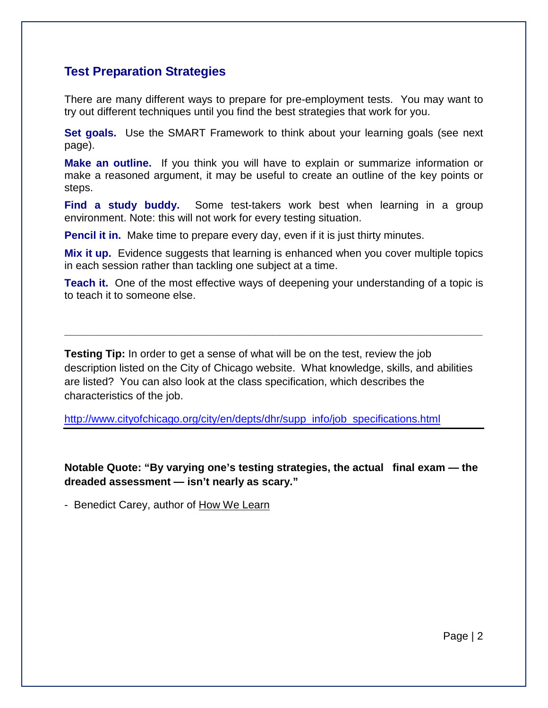#### **Test Preparation Strategies**

There are many different ways to prepare for pre-employment tests. You may want to try out different techniques until you find the best strategies that work for you.

**Set goals.** Use the SMART Framework to think about your learning goals (see next page).

**Make an outline.** If you think you will have to explain or summarize information or make a reasoned argument, it may be useful to create an outline of the key points or steps.

**Find a study buddy.** Some test-takers work best when learning in a group environment. Note: this will not work for every testing situation.

**Pencil it in.** Make time to prepare every day, even if it is just thirty minutes.

**Mix it up.** Evidence suggests that learning is enhanced when you cover multiple topics in each session rather than tackling one subject at a time.

**Teach it.** One of the most effective ways of deepening your understanding of a topic is to teach it to someone else.

**\_\_\_\_\_\_\_\_\_\_\_\_\_\_\_\_\_\_\_\_\_\_\_\_\_\_\_\_\_\_\_\_\_\_\_\_\_\_\_\_\_\_\_\_\_\_\_\_\_\_\_\_\_\_\_\_\_\_\_\_\_\_\_\_\_\_\_\_\_\_**

**Testing Tip:** In order to get a sense of what will be on the test, review the job description listed on the City of Chicago website. What knowledge, skills, and abilities are listed? You can also look at the class specification, which describes the characteristics of the job.

[http://www.cityofchicago.org/city/en/depts/dhr/supp\\_info/job\\_specifications.html](http://www.cityofchicago.org/city/en/depts/dhr/supp_info/job_specifications.html)

**Notable Quote: "By varying one's testing strategies, the actual final exam — the dreaded assessment — isn't nearly as scary."**

- Benedict Carey, author of How We Learn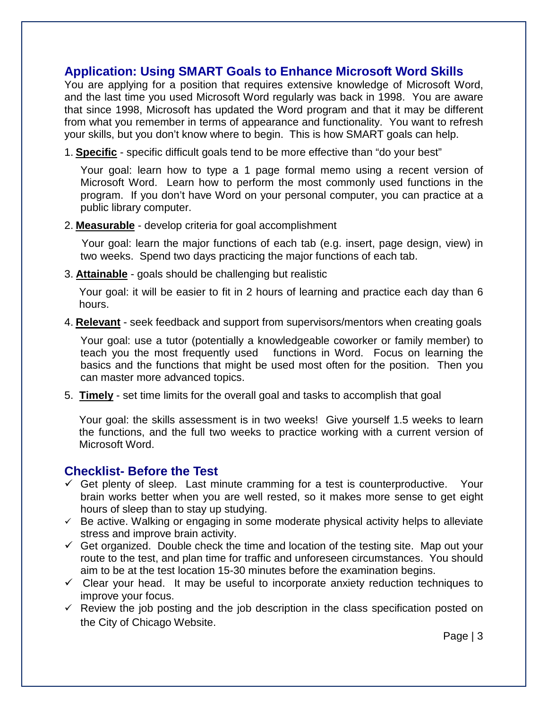#### **Application: Using SMART Goals to Enhance Microsoft Word Skills**

You are applying for a position that requires extensive knowledge of Microsoft Word, and the last time you used Microsoft Word regularly was back in 1998. You are aware that since 1998, Microsoft has updated the Word program and that it may be different from what you remember in terms of appearance and functionality. You want to refresh your skills, but you don't know where to begin. This is how SMART goals can help.

1. **Specific** - specific difficult goals tend to be more effective than "do your best"

Your goal: learn how to type a 1 page formal memo using a recent version of Microsoft Word. Learn how to perform the most commonly used functions in the program. If you don't have Word on your personal computer, you can practice at a public library computer.

2. **Measurable** - develop criteria for goal accomplishment

 Your goal: learn the major functions of each tab (e.g. insert, page design, view) in two weeks. Spend two days practicing the major functions of each tab.

3. **Attainable** - goals should be challenging but realistic

Your goal: it will be easier to fit in 2 hours of learning and practice each day than 6 hours.

4. **Relevant** - seek feedback and support from supervisors/mentors when creating goals

Your goal: use a tutor (potentially a knowledgeable coworker or family member) to teach you the most frequently used functions in Word. Focus on learning the basics and the functions that might be used most often for the position. Then you can master more advanced topics.

5. **Timely** - set time limits for the overall goal and tasks to accomplish that goal

Your goal: the skills assessment is in two weeks! Give yourself 1.5 weeks to learn the functions, and the full two weeks to practice working with a current version of Microsoft Word.

#### **Checklist- Before the Test**

- $\checkmark$  Get plenty of sleep. Last minute cramming for a test is counterproductive. Your brain works better when you are well rested, so it makes more sense to get eight hours of sleep than to stay up studying.
- $\checkmark$  Be active. Walking or engaging in some moderate physical activity helps to alleviate stress and improve brain activity.
- $\checkmark$  Get organized. Double check the time and location of the testing site. Map out your route to the test, and plan time for traffic and unforeseen circumstances. You should aim to be at the test location 15-30 minutes before the examination begins.
- $\checkmark$  Clear your head. It may be useful to incorporate anxiety reduction techniques to improve your focus.
- $\checkmark$  Review the job posting and the job description in the class specification posted on the City of Chicago Website.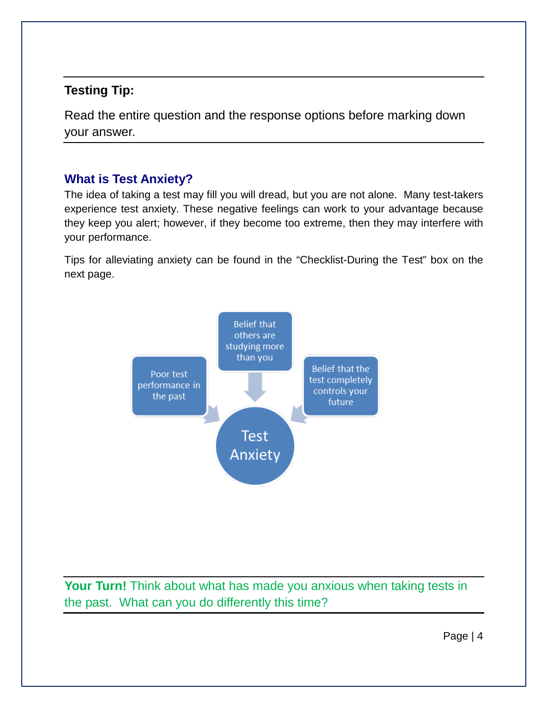## **Testing Tip:**

Read the entire question and the response options before marking down your answer.

## **What is Test Anxiety?**

The idea of taking a test may fill you will dread, but you are not alone. Many test-takers experience test anxiety. These negative feelings can work to your advantage because they keep you alert; however, if they become too extreme, then they may interfere with your performance.

Tips for alleviating anxiety can be found in the "Checklist-During the Test" box on the next page.



**Your Turn!** Think about what has made you anxious when taking tests in the past. What can you do differently this time?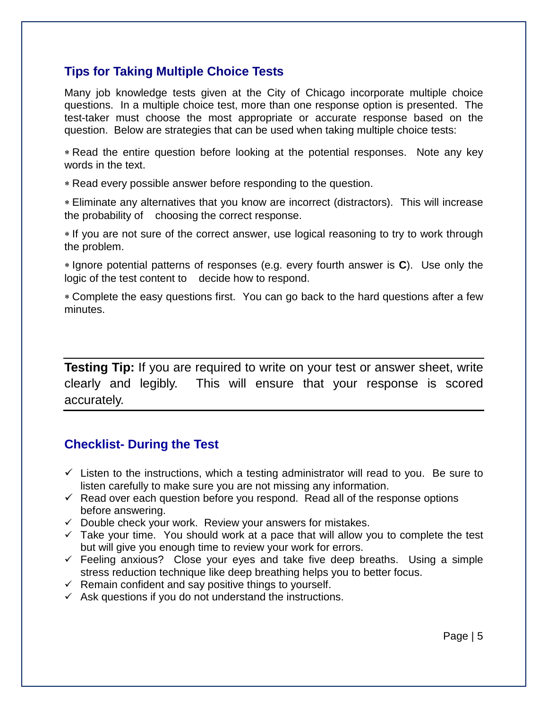#### **Tips for Taking Multiple Choice Tests**

Many job knowledge tests given at the City of Chicago incorporate multiple choice questions. In a multiple choice test, more than one response option is presented. The test-taker must choose the most appropriate or accurate response based on the question. Below are strategies that can be used when taking multiple choice tests:

∗ Read the entire question before looking at the potential responses. Note any key words in the text.

∗ Read every possible answer before responding to the question.

∗ Eliminate any alternatives that you know are incorrect (distractors). This will increase the probability of choosing the correct response.

∗ If you are not sure of the correct answer, use logical reasoning to try to work through the problem.

∗ Ignore potential patterns of responses (e.g. every fourth answer is **C**). Use only the logic of the test content to decide how to respond.

∗ Complete the easy questions first. You can go back to the hard questions after a few minutes.

**Testing Tip:** If you are required to write on your test or answer sheet, write clearly and legibly. This will ensure that your response is scored accurately.

## **Checklist- During the Test**

- $\checkmark$  Listen to the instructions, which a testing administrator will read to you. Be sure to listen carefully to make sure you are not missing any information.
- $\checkmark$  Read over each question before you respond. Read all of the response options before answering.
- $\checkmark$  Double check your work. Review your answers for mistakes.
- $\checkmark$  Take your time. You should work at a pace that will allow you to complete the test but will give you enough time to review your work for errors.
- $\checkmark$  Feeling anxious? Close your eyes and take five deep breaths. Using a simple stress reduction technique like deep breathing helps you to better focus.
- $\checkmark$  Remain confident and say positive things to yourself.
- $\checkmark$  Ask questions if you do not understand the instructions.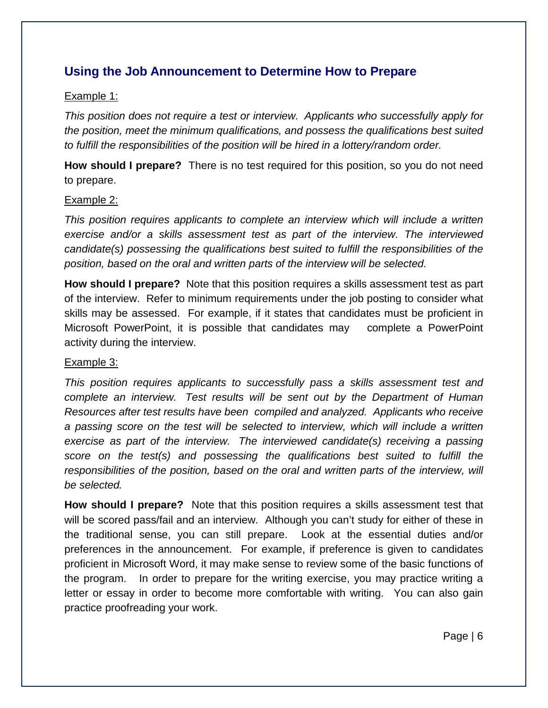## **Using the Job Announcement to Determine How to Prepare**

#### Example 1:

*This position does not require a test or interview. Applicants who successfully apply for the position, meet the minimum qualifications, and possess the qualifications best suited to fulfill the responsibilities of the position will be hired in a lottery/random order.* 

**How should I prepare?** There is no test required for this position, so you do not need to prepare.

#### Example 2:

*This position requires applicants to complete an interview which will include a written exercise and/or a skills assessment test as part of the interview. The interviewed candidate(s) possessing the qualifications best suited to fulfill the responsibilities of the position, based on the oral and written parts of the interview will be selected.* 

**How should I prepare?** Note that this position requires a skills assessment test as part of the interview. Refer to minimum requirements under the job posting to consider what skills may be assessed. For example, if it states that candidates must be proficient in Microsoft PowerPoint, it is possible that candidates may complete a PowerPoint activity during the interview.

#### Example 3:

*This position requires applicants to successfully pass a skills assessment test and complete an interview. Test results will be sent out by the Department of Human Resources after test results have been compiled and analyzed. Applicants who receive a passing score on the test will be selected to interview, which will include a written exercise as part of the interview. The interviewed candidate(s) receiving a passing score on the test(s) and possessing the qualifications best suited to fulfill the responsibilities of the position, based on the oral and written parts of the interview, will be selected.* 

**How should I prepare?** Note that this position requires a skills assessment test that will be scored pass/fail and an interview. Although you can't study for either of these in the traditional sense, you can still prepare. Look at the essential duties and/or preferences in the announcement. For example, if preference is given to candidates proficient in Microsoft Word, it may make sense to review some of the basic functions of the program. In order to prepare for the writing exercise, you may practice writing a letter or essay in order to become more comfortable with writing.You can also gain practice proofreading your work.

Page | 6